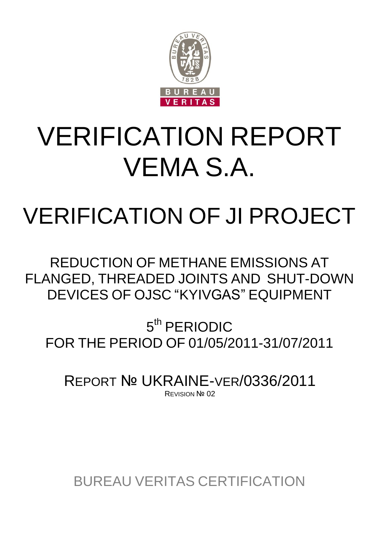

# VERIFICATION REPORT VEMA S.A.

## VERIFICATION OF JI PROJECT

REDUCTION OF METHANE EMISSIONS AT FLANGED, THREADED JOINTS AND SHUT-DOWN DEVICES OF OJSC "KYIVGAS" EQUIPMENT

5<sup>th</sup> PERIODIC FOR THE PERIOD OF 01/05/2011-31/07/2011

REPORT № UKRAINE-VER/0336/2011 REVISION Nº 02

BUREAU VERITAS CERTIFICATION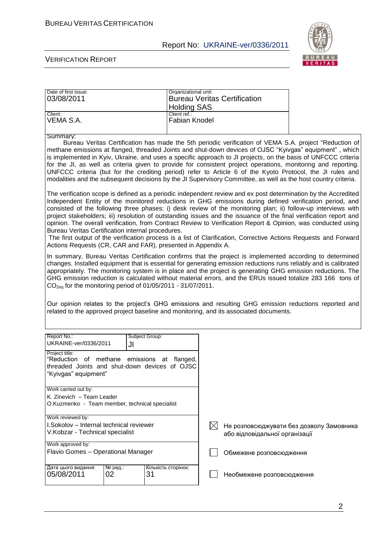Date of first issue:  $\qquad \qquad$  Organizational unit:

#### Report No: UKRAINE-ver/0336/2011



| 03/08/2011                                                                                                                                                                                                                                                                                                                                                                                                                                                                                                                                                                                                                                                                                                                                                                                                                |               | <b>Holding SAS</b>            |                                | <b>Bureau Veritas Certification</b>      |                                                                                                                                                                                                                                                                                                                                                                                                                                                                                                                                                                                                                                                                                    |
|---------------------------------------------------------------------------------------------------------------------------------------------------------------------------------------------------------------------------------------------------------------------------------------------------------------------------------------------------------------------------------------------------------------------------------------------------------------------------------------------------------------------------------------------------------------------------------------------------------------------------------------------------------------------------------------------------------------------------------------------------------------------------------------------------------------------------|---------------|-------------------------------|--------------------------------|------------------------------------------|------------------------------------------------------------------------------------------------------------------------------------------------------------------------------------------------------------------------------------------------------------------------------------------------------------------------------------------------------------------------------------------------------------------------------------------------------------------------------------------------------------------------------------------------------------------------------------------------------------------------------------------------------------------------------------|
| Client:<br>VEMA S.A.                                                                                                                                                                                                                                                                                                                                                                                                                                                                                                                                                                                                                                                                                                                                                                                                      |               | Client ref.:<br>Fabian Knodel |                                |                                          |                                                                                                                                                                                                                                                                                                                                                                                                                                                                                                                                                                                                                                                                                    |
| Summary:                                                                                                                                                                                                                                                                                                                                                                                                                                                                                                                                                                                                                                                                                                                                                                                                                  |               |                               |                                |                                          | Bureau Veritas Certification has made the 5th periodic verification of VEMA S.A. project "Reduction of<br>methane emissions at flanged, threaded Joints and shut-down devices of OJSC "Kyivgas" equipment", which<br>is implemented in Kyiv, Ukraine, and uses a specific approach to JI projects, on the basis of UNFCCC criteria<br>for the JI, as well as criteria given to provide for consistent project operations, monitoring and reporting.<br>UNFCCC criteria (but for the crediting period) refer to Article 6 of the Kyoto Protocol, the JI rules and<br>modalities and the subsequent decisions by the JI Supervisory Committee, as well as the host country criteria. |
| The verification scope is defined as a periodic independent review and ex post determination by the Accredited<br>Independent Entity of the monitored reductions in GHG emissions during defined verification period, and<br>consisted of the following three phases: i) desk review of the monitoring plan; ii) follow-up interviews with<br>project stakeholders; iii) resolution of outstanding issues and the issuance of the final verification report and<br>opinion. The overall verification, from Contract Review to Verification Report & Opinion, was conducted using<br>Bureau Veritas Certification internal procedures.<br>The first output of the verification process is a list of Clarification, Corrective Actions Requests and Forward<br>Actions Requests (CR, CAR and FAR), presented in Appendix A. |               |                               |                                |                                          |                                                                                                                                                                                                                                                                                                                                                                                                                                                                                                                                                                                                                                                                                    |
| In summary, Bureau Veritas Certification confirms that the project is implemented according to determined<br>changes. Installed equipment that is essential for generating emission reductions runs reliably and is calibrated<br>appropriately. The monitoring system is in place and the project is generating GHG emission reductions. The<br>GHG emission reduction is calculated without material errors, and the ERUs issued totalize 283 166 tons of<br>$CO2ea$ for the monitoring period of 01/05/2011 - 31/07/2011.<br>Our opinion relates to the project's GHG emissions and resulting GHG emission reductions reported and<br>related to the approved project baseline and monitoring, and its associated documents.                                                                                           |               |                               |                                |                                          |                                                                                                                                                                                                                                                                                                                                                                                                                                                                                                                                                                                                                                                                                    |
|                                                                                                                                                                                                                                                                                                                                                                                                                                                                                                                                                                                                                                                                                                                                                                                                                           |               |                               |                                |                                          |                                                                                                                                                                                                                                                                                                                                                                                                                                                                                                                                                                                                                                                                                    |
| Report No.:<br>UKRAINE-ver/0336/2011                                                                                                                                                                                                                                                                                                                                                                                                                                                                                                                                                                                                                                                                                                                                                                                      | JI            | Subject Group:                |                                |                                          |                                                                                                                                                                                                                                                                                                                                                                                                                                                                                                                                                                                                                                                                                    |
| Project title:<br>"Reduction of methane<br>threaded Joints and shut-down devices of OJSC<br>"Kyivgas" equipment"                                                                                                                                                                                                                                                                                                                                                                                                                                                                                                                                                                                                                                                                                                          |               | emissions at flanged,         |                                |                                          |                                                                                                                                                                                                                                                                                                                                                                                                                                                                                                                                                                                                                                                                                    |
| Work carried out by:<br>K. Zinevich - Team Leader<br>O.Kuzmenko - Team member, technical specialist                                                                                                                                                                                                                                                                                                                                                                                                                                                                                                                                                                                                                                                                                                                       |               |                               |                                |                                          |                                                                                                                                                                                                                                                                                                                                                                                                                                                                                                                                                                                                                                                                                    |
| Work reviewed by:<br>I.Sokolov - Internal technical reviewer<br>V.Kobzar - Technical specialist                                                                                                                                                                                                                                                                                                                                                                                                                                                                                                                                                                                                                                                                                                                           |               | IХI                           | або відповідальної організації | Не розповсюджувати без дозволу Замовника |                                                                                                                                                                                                                                                                                                                                                                                                                                                                                                                                                                                                                                                                                    |
| Work approved by:<br>Flavio Gomes - Operational Manager                                                                                                                                                                                                                                                                                                                                                                                                                                                                                                                                                                                                                                                                                                                                                                   |               |                               |                                | Обмежене розповсюдження                  |                                                                                                                                                                                                                                                                                                                                                                                                                                                                                                                                                                                                                                                                                    |
| Дата цього видання:<br>05/08/2011                                                                                                                                                                                                                                                                                                                                                                                                                                                                                                                                                                                                                                                                                                                                                                                         | № ред.:<br>02 | Кількість сторінок:<br>31     |                                | Необмежене розповсюдження                |                                                                                                                                                                                                                                                                                                                                                                                                                                                                                                                                                                                                                                                                                    |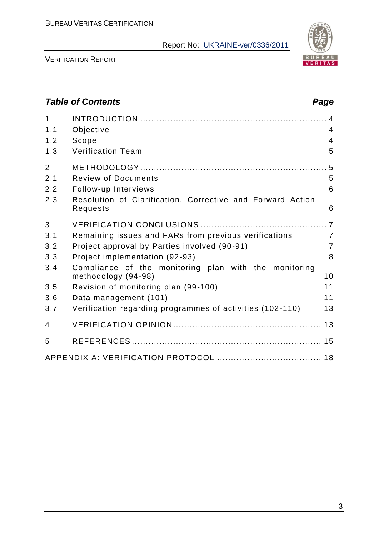

VERIFICATION REPORT

## *Table of Contents Page* 1 INTRODUCTION .................................................................... 4 1.1 Objective 4 1.2 Scope 4 1.3 Verification Team 5 2 METHODOLOGY .................................................................... 5 2.1 Review of Documents 5 2.2 Follow-up Interviews 6 2.3 Resolution of Clarification, Corrective and Forward Action Requests 6 3 VERIFICATION CONCLUSIONS .............................................. 7 3.1 Remaining issues and FARs from previous verifications 7 3.2 Project approval by Parties involved (90-91) 7 3.3 Project implementation (92-93) 8 3.4 Compliance of the monitoring plan with the monitoring methodology (94-98) 10 3.5 Revision of monitoring plan (99-100) 11 3.6 Data management (101) 11 3.7 Verification regarding programmes of activities (102 -110) 13 4 VERIFICATION OPINION ...................................................... 13 5 REFERENCES ..................................................................... 15 APPENDIX A: VERIFICATION PROTOCOL ...................................... 18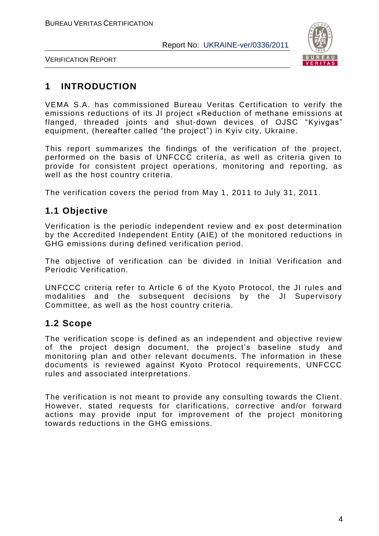

VERIFICATION REPORT

## **1 INTRODUCTION**

VEMA S.A. has commissioned Bureau Veritas Certification to verify the emissions reductions of its JI project «Reduction of methane emissions at flanged, threaded joints and shut-down devices of OJSC "Kyivgas" equipment, (hereafter called "the project") in Kyiv city, Ukraine.

This report summarizes the findings of the verification of the project, performed on the basis of UNFCCC criteria, as well as criteria given to provide for consistent project operations, monitoring and reporting, as well as the host country criteria.

The verification covers the period from May 1, 2011 to July 31, 2011.

## **1.1 Objective**

Verification is the periodic independent review and ex post determination by the Accredited Independent Entity (AIE) of the monitored reductions in GHG emissions during defined verification period.

The objective of verification can be divided in Initial Verification and Periodic Verification.

UNFCCC criteria refer to Article 6 of the Kyoto Protocol, the JI rules and modalities and the subsequent decisions by the JI Supervisory Committee, as well as the host country criteria.

## **1.2 Scope**

The verification scope is defined as an independent and objective review of the project design document, the project's baseline study and monitoring plan and other relevant documents. The information in these documents is reviewed against Kyoto Protocol requirements, UNFCCC rules and associated interpretations.

The verification is not meant to provide any consulting towards the Client . However, stated requests for clarifications, corrective and/or forward actions may provide input for improvement of the project monitoring towards reductions in the GHG emissions.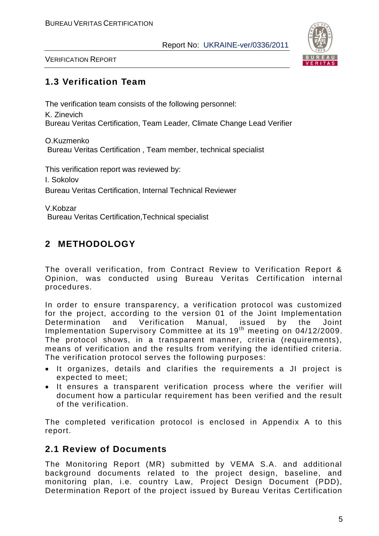

VERIFICATION REPORT

## **1.3 Verification Team**

The verification team consists of the following personnel:

K. Zinevich Bureau Veritas Certification, Team Leader, Climate Change Lead Verifier

O.Kuzmenko Bureau Veritas Certification , Team member, technical specialist

This verification report was reviewed by:

I. Sokolov

Bureau Veritas Certification, Internal Technical Reviewer

V.Kobzar Bureau Veritas Certification,Technical specialist

## **2 METHODOLOGY**

The overall verification, from Contract Review to Verification Report & Opinion, was conducted using Bureau Veritas Certification internal procedures.

In order to ensure transparency, a verification protocol was customized for the project, according to the version 01 of the Joint Implementation Determination and Verification Manual, issued by the Joint Implementation Supervisory Committee at its 19<sup>th</sup> meeting on 04/12/2009. The protocol shows, in a transparent manner, criteria (requirements), means of verification and the results from verifying the identified criteria. The verification protocol serves the following purposes:

- It organizes, details and clarifies the requirements a JI project is expected to meet;
- It ensures a transparent verification process where the verifier will document how a particular requirement has been verified and the result of the verification.

The completed verification protocol is enclosed in Appendix A to this report.

## **2.1 Review of Documents**

The Monitoring Report (MR) submitted by VEMA S.A. and additional background documents related to the project design, baseline, and monitoring plan, i.e. country Law, Project Design Document (PDD), Determination Report of the project issued by Bureau Veritas Certification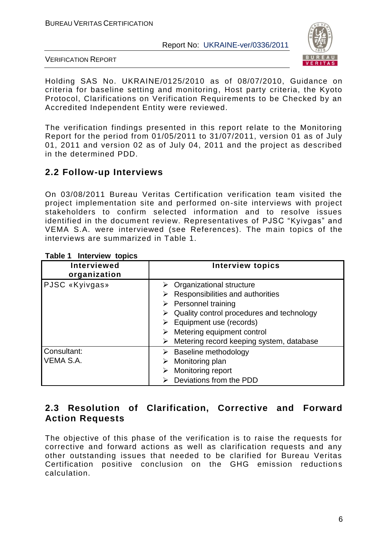

VERIFICATION REPORT

Holding SAS No. UKRAINE/0125/2010 as of 08/07/2010, Guidance on criteria for baseline setting and monitoring, Host party criteria, the Kyoto Protocol, Clarifications on Verification Requirements to be Checked by an Accredited Independent Entity were reviewed.

The verification findings presented in this report relate to the Monitoring Report for the period from 01/05/2011 to 31/07/2011, version 01 as of July 01, 2011 and version 02 as of July 04, 2011 and the project as described in the determined PDD.

## **2.2 Follow-up Interviews**

On 03/08/2011 Bureau Veritas Certification verification team visited the project implementation site and performed on-site interviews with project stakeholders to confirm selected information and to resolve issues identified in the document review. Representatives of PJSC "Kyivgas" and VEMA S.A. were interviewed (see References). The main topics of the interviews are summarized in Table 1.

| <b>Interviewed</b><br>organization | <b>Interview topics</b>                                                                                                                                                                                                                                                     |
|------------------------------------|-----------------------------------------------------------------------------------------------------------------------------------------------------------------------------------------------------------------------------------------------------------------------------|
| PJSC «Kyivgas»                     | $\triangleright$ Organizational structure<br>Responsibilities and authorities<br>$\triangleright$ Personnel training<br>Quality control procedures and technology<br>Equipment use (records)<br>Metering equipment control<br>Metering record keeping system, database<br>➤ |
| Consultant:<br>VEMA S.A.           | Baseline methodology<br>➤<br>Monitoring plan<br>Monitoring report<br>Deviations from the PDD                                                                                                                                                                                |

#### **Table 1 Interview topics**

## **2.3 Resolution of Clarification, Corrective and Forward Action Requests**

The objective of this phase of the verification is to raise the requests for corrective and forward actions as well as clarification requests and any other outstanding issues that needed to be clarified for Bureau Veritas Certification positive conclusion on the GHG emission reductions calculation.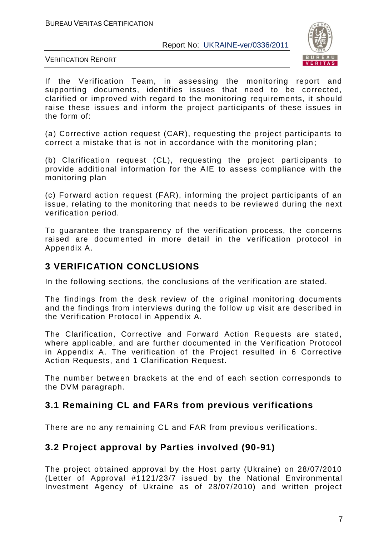

VERIFICATION REPORT

If the Verification Team, in assessing the monitoring report and supporting documents, identifies issues that need to be corrected, clarified or improved with regard to the monitoring requirements, it should raise these issues and inform the project participants of these issues in the form of:

(а) Corrective action request (CAR), requesting the project participants to correct a mistake that is not in accordance with the monitoring plan ;

(b) Clarification request (CL), requesting the project participants to provide additional information for the AIE to assess compliance with the monitoring plan

(c) Forward action request (FAR), informing the project participants of an issue, relating to the monitoring that needs to be reviewed during the next verification period.

To guarantee the transparency of the verification process, the concerns raised are documented in more detail in the verification protocol in Appendix A.

## **3 VERIFICATION CONCLUSIONS**

In the following sections, the conclusions of the verification are stated.

The findings from the desk review of the original monitoring documents and the findings from interviews during the follow up visit are described in the Verification Protocol in Appendix A.

The Clarification, Corrective and Forward Action Requests are stated, where applicable, and are further documented in the Verification Protocol in Appendix A. The verification of the Project resulted in 6 Corrective Action Requests, and 1 Clarification Request.

The number between brackets at the end of each section corresponds to the DVM paragraph.

## **3.1 Remaining CL and FARs from previous verifications**

There are no any remaining CL and FAR from previous verifications.

## **3.2 Project approval by Parties involved (90-91)**

The project obtained approval by the Host party (Ukraine) on 28/07/2010 (Letter of Approval #1121/23/7 issued by the National Environmental Investment Agency of Ukraine as of 28/07/2010) and written project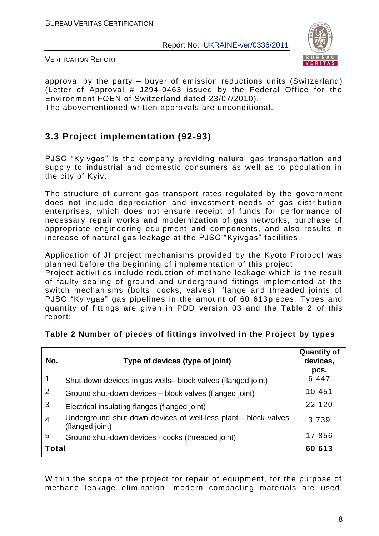

VERIFICATION REPORT

approval by the party – buyer of emission reductions units (Switzerland) (Letter of Approval # J294-0463 issued by the Federal Office for the Environment FOEN of Switzerland dated 23/07/2010).

The abovementioned written approvals are unconditional.

## **3.3 Project implementation (92-93)**

PJSC "Kyivgas" is the company providing natural gas transportation and supply to industrial and domestic consumers as well as to population in the city of Kyiv.

The structure of current gas transport rates regulated by the government does not include depreciation and investment needs of gas distribution enterprises, which does not ensure receipt of funds for performance of necessary repair works and modernization of gas networks, purchase of appropriate engineering equipment and components, and also results in increase of natural gas leakage at the PJSC "Kyivgas" facilities.

Application of JI project mechanisms provided by the Kyoto Protocol was planned before the beginning of implementation of this project.

Project activities include reduction of methane leakage which is the result of faulty sealing of ground and underground fittings implemented at the switch mechanisms (bolts, cocks, valves), flange and threaded joints of PJSC "Kyivgas" gas pipelines in the amount of 60 613pieces. Types and quantity of fittings are given in PDD version 03 and the Table 2 of this report:

| No. | Type of devices (type of joint)                                                    | <b>Quantity of</b><br>devices,<br>pcs. |  |
|-----|------------------------------------------------------------------------------------|----------------------------------------|--|
|     | Shut-down devices in gas wells-block valves (flanged joint)                        | 6 4 4 7                                |  |
| 2   | Ground shut-down devices – block valves (flanged joint)                            | 10 451                                 |  |
| 3   | Electrical insulating flanges (flanged joint)                                      | 22 120                                 |  |
| 4   | Underground shut-down devices of well-less plant - block valves<br>(flanged joint) | 3 7 3 9                                |  |
| 5   | Ground shut-down devices - cocks (threaded joint)                                  | 17 856                                 |  |
|     | <b>Total</b>                                                                       |                                        |  |

#### **Table 2 Number of pieces of fittings involved in the Project by types**

Within the scope of the project for repair of equipment, for the purpose of methane leakage elimination, modern compacting materials are used,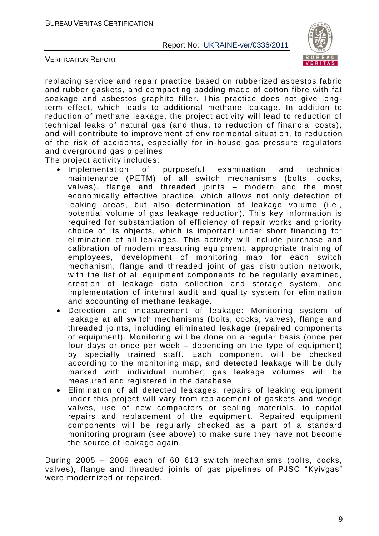



replacing service and repair practice based on rubberized asbestos fabric and rubber gaskets, and compacting padding made of cotton fibre with fat soakage and asbestos graphite filler. This practice does not give longterm effect, which leads to additional methane leakage. In addition to reduction of methane leakage, the project activity will lead to reduction of technical leaks of natural gas (and thus, to reduction of financial costs), and will contribute to improvement of environmental situation, to redu ction of the risk of accidents, especially for in-house gas pressure regulators and overground gas pipelines.

The project activity includes:

- Implementation of purposeful examination and technical maintenance (PETM) of all switch mechanisms (bolts, cocks, valves), flange and threaded joints – modern and the most economically effective practice, which allows not only detection of leaking areas, but also determination of leakage volume (i.e., potential volume of gas leakage reduction). This key information is required for substantiation of efficiency of repair works and priority choice of its objects, which is important under short financing for elimination of all leakages. This activity will include purchase and calibration of modern measuring equipment, appropriate training of employees, development of monitoring map for each switch mechanism, flange and threaded joint of gas distribution network, with the list of all equipment components to be regularly examined, creation of leakage data collection and storage system, and implementation of internal audit and quality system for elimination and accounting of methane leakage.
- Detection and measurement of leakage: Monitoring system of leakage at all switch mechanisms (bolts, cocks, valves), flange and threaded joints, including eliminated leakage (repaired components of equipment). Monitoring will be done on a regular basis (once per four days or once per week – depending on the type of equipment) by specially trained staff. Each component will be checked according to the monitoring map, and detected leakage will be duly marked with individual number; gas leakage volumes will be measured and registered in the database.
- Elimination of all detected leakages: repairs of leaking equipment under this project will vary from replacement of gaskets and wedge valves, use of new compactors or sealing materials, to capital repairs and replacement of the equipment. Repaired equipment components will be regularly checked as a part of a standard monitoring program (see above) to make sure they have not become the source of leakage again.

During 2005 – 2009 each of 60 613 switch mechanisms (bolts, cocks, valves), flange and threaded joints of gas pipelines of PJSC "Kyivgas" were modernized or repaired.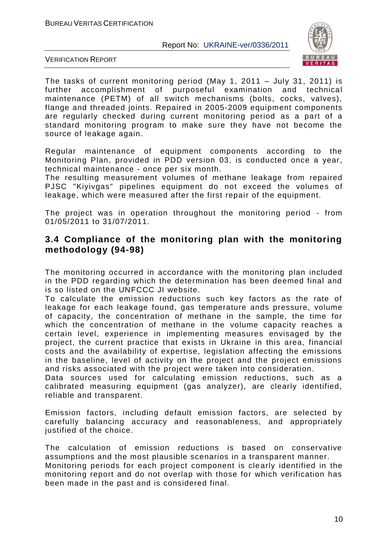

VERIFICATION REPORT

The tasks of current monitoring period (May 1, 2011 – July 31, 2011) is further accomplishment of purposeful examination and technical maintenance (PETM) of all switch mechanisms (bolts, cocks, valves), flange and threaded joints. Repaired in 2005-2009 equipment components are regularly checked during current monitoring period as a part of a standard monitoring program to make sure they have not become the source of leakage again.

Regular maintenance of equipment components according to the Monitoring Plan, provided in PDD version 03, is conducted once a year, technical maintenance - once per six month.

The resulting measurement volumes of methane leakage from repaired PJSC "Kiyivgas" pipelines equipment do not exceed the volumes of leakage, which were measured after the first repair of the equipment.

The project was in operation throughout the monitoring period - from 01/05/2011 to 31/07/2011.

### **3.4 Compliance of the monitoring plan with the monitoring methodology (94-98)**

The monitoring occurred in accordance with the monitoring plan included in the PDD regarding which the determination has been deemed final and is so listed on the UNFCCC JI website.

To calculate the emission reductions such key factors as the rate of leakage for each leakage found, gas temperature ands pressure, volume of capacity, the concentration of methane in the sample, the time for which the concentration of methane in the volume capacity reaches a certain level, experience in implementing measures envisaged by the project, the current practice that exists in Ukraine in this area, financial costs and the availability of expertise, legislation affecting the emissions in the baseline, level of activity on the project and the project emissions and risks associated with the project were taken into consideration.

Data sources used for calculating emission reductions, such as a calibrated measuring equipment (gas analyzer), are clearly identified, reliable and transparent.

Emission factors, including default emission factors, are selected by carefully balancing accuracy and reasonableness, and appropriately justified of the choice.

The calculation of emission reductions is based on conservative assumptions and the most plausible scenarios in a transparent manner. Monitoring periods for each project component is clearly identified in the monitoring report and do not overlap with those for which verification has been made in the past and is considered final.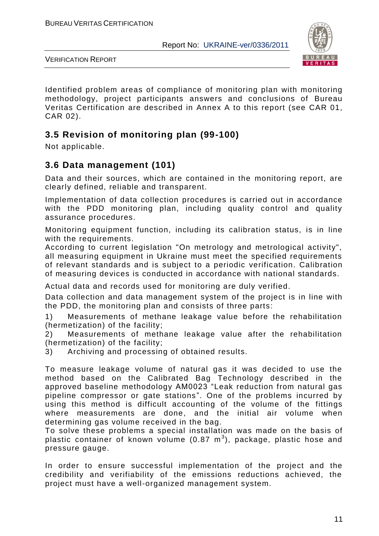

VERIFICATION REPORT

Identified problem areas of compliance of monitoring plan with monitoring methodology, project participants answers and conclusions of Bureau Veritas Certification are described in Annex A to this report (see CAR 01, CAR 02).

## **3.5 Revision of monitoring plan (99-100)**

Not applicable.

## **3.6 Data management (101)**

Data and their sources, which are contained in the monitoring report, are clearly defined, reliable and transparent.

Implementation of data collection procedures is carried out in accordance with the PDD monitoring plan, including quality control and quality assurance procedures.

Monitoring equipment function, including its calibration status, is in line with the requirements.

According to current legislation "On metrology and metrological activity", all measuring equipment in Ukraine must meet the specified requirements of relevant standards and is subject to a periodic verification. Calibration of measuring devices is conducted in accordance with national standards.

Actual data and records used for monitoring are duly verified.

Data collection and data management system of the project is in line with the PDD, the monitoring plan and consists of three parts:

1) Measurements of methane leakage value before the rehabilitation (hermetization) of the facility;

2) Measurements of methane leakage value after the rehabilitation (hermetization) of the facility;

3) Archiving and processing of obtained results.

To measure leakage volume of natural gas it was decided to use the method based on the Calibrated Bag Technology described in the approved baseline methodology AM0023 "Leak reduction from natural gas pipeline compressor or gate stations". One of the problems incurred by using this method is difficult accounting of the volume of the fittings where measurements are done, and the initial air volume when determining gas volume received in the bag.

To solve these problems a special installation was made on the basis of plastic container of known volume (0.87  $m^3$ ), package, plastic hose and pressure gauge.

In order to ensure successful implementation of the project and the credibility and verifiability of the emissions reductions achieved, the project must have a well-organized management system.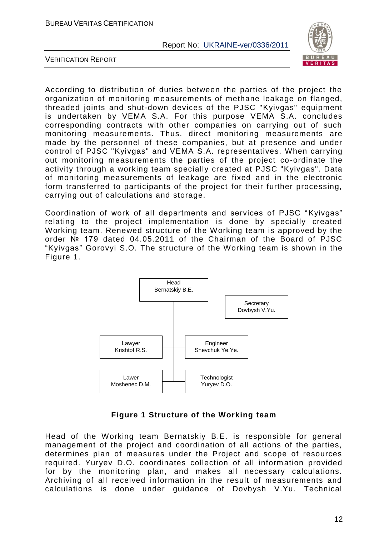

VERIFICATION REPORT

According to distribution of duties between the parties of the project the organization of monitoring measurements of methane leakage on flanged, threaded joints and shut-down devices of the PJSC "Kyivgas" equipment is undertaken by VEMA S.A. For this purpose VEMA S.A. concludes corresponding contracts with other companies on carrying out of such monitoring measurements. Thus, direct monitoring measurements are made by the personnel of these companies, but at presence and under control of PJSC "Kyivgas" and VEMA S.A. representatives. When carrying out monitoring measurements the parties of the project co -ordinate the activity through a working team specially created at PJSC "Kyivgas". Data of monitoring measurements of leakage are fixed and in the electronic form transferred to participants of the project for their further processing, carrying out of calculations and storage.

Coordination of work of all departments and services of PJSC "Kyivgas" relating to the project implementation is done by specially created Working team. Renewed structure of the Working team is approved by the order № 179 dated 04.05.2011 of the Chairman of the Board of PJSC "Kyivgas" Gorovyi S.O. The structure of the Working team is shown in the Figure 1.



#### **Figure 1 Structure of the Working team**

Head of the Working team Bernatskiy B.E. is responsible for general management of the project and coordination of all actions of the parties, determines plan of measures under the Project and scope of resources required. Yuryev D.O. coordinates collection of all inform ation provided for by the monitoring plan, and makes all necessary calculations. Archiving of all received information in the result of measurements and calculations is done under guidance of Dovbysh V.Yu. Technical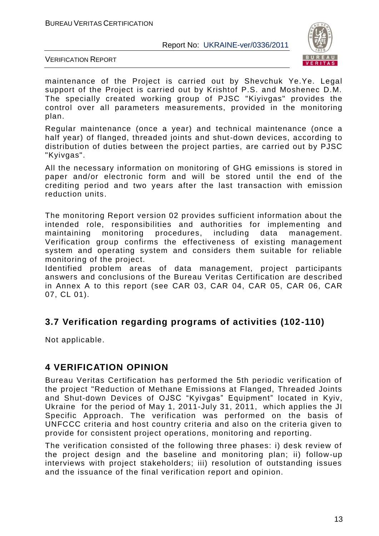

VERIFICATION REPORT

maintenance of the Project is carried out by Shevchuk Ye.Ye. Legal support of the Project is carried out by Krishtof P.S. and Moshenec D.M. The specially created working group of PJSC "Kiyivgas" provides the control over all parameters measurements, provided in the monitoring plan.

Regular maintenance (once a year) and technical maintenance (once a half year) of flanged, threaded joints and shut-down devices, according to distribution of duties between the project parties, are carried out by PJSC "Kyivgas".

All the necessary information on monitoring of GHG emissions is stored in paper and/or electronic form and will be stored until the end of the crediting period and two years after the last transaction with emission reduction units.

The monitoring Report version 02 provides sufficient information about the intended role, responsibilities and authorities for implementing and maintaining monitoring procedures, including data management. Verification group confirms the effectiveness of existing management system and operating system and considers them suitable for reliable monitoring of the project.

Identified problem areas of data management, project participants answers and conclusions of the Bureau Veritas Certification are described in Annex A to this report (see CAR 03, CAR 04, CAR 05, CAR 06, CAR 07, CL 01).

## **3.7 Verification regarding programs of activities (102-110)**

Not applicable.

## **4 VERIFICATION OPINION**

Bureau Veritas Certification has performed the 5th periodic verification of the project "Reduction of Methane Emissions at Flanged, Threaded Joints and Shut-down Devices of OJSC "Kyivgas" Equipment" located in Kyiv, Ukraine for the period of May 1, 2011-July 31, 2011, which applies the JI Specific Approach. The verification was performed on the basis of UNFCCC criteria and host country criteria and also on the criteria given to provide for consistent project operations, monitoring and reporting.

The verification consisted of the following three phases: i) desk review of the project design and the baseline and monitoring plan; ii) follow-up interviews with project stakeholders; iii) resolution of outstanding issues and the issuance of the final verification report and opinion.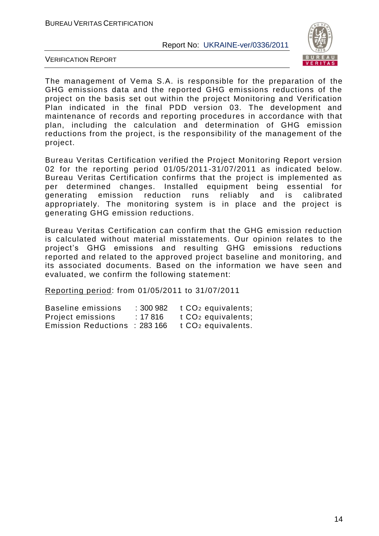

VERIFICATION REPORT

The management of Vema S.A. is responsible for the preparation of the GHG emissions data and the reported GHG emissions reductions of the project on the basis set out within the project Monitoring and Verification Plan indicated in the final PDD version 03. The development and maintenance of records and reporting procedures in accordance with that plan, including the calculation and determination of GHG emission reductions from the project, is the responsibility of the management of the project.

Bureau Veritas Certification verified the Project Monitoring Report version 02 for the reporting period 01/05/2011-31/07/2011 as indicated below. Bureau Veritas Certification confirms that the project is implemented as per determined changes. Installed equipment being essential for generating emission reduction runs reliably and is calibrated appropriately. The monitoring system is in place and the project is generating GHG emission reductions.

Bureau Veritas Certification can confirm that the GHG emission reduction is calculated without material misstatements. Our opinion relates to the project's GHG emissions and resulting GHG emissions reductions reported and related to the approved project baseline and monitoring, and its associated documents. Based on the information we have seen and evaluated, we confirm the following statement:

Reporting period: from 01/05/2011 to 31/07/2011

| Baseline emissions         | : 300982 | $t CO2$ equivalents;           |
|----------------------------|----------|--------------------------------|
| Project emissions          | : 17816  | t CO <sub>2</sub> equivalents; |
| <b>Emission Reductions</b> | :283 166 | t CO <sub>2</sub> equivalents. |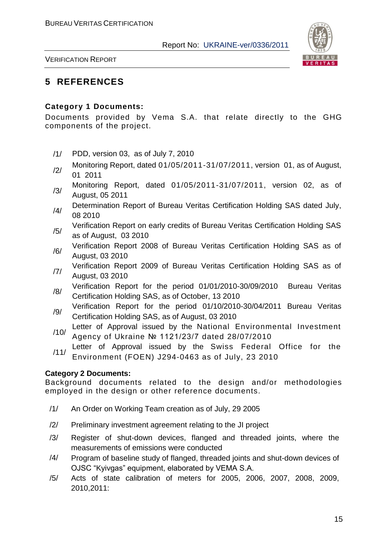

VERIFICATION REPORT

## **5 REFERENCES**

#### **Category 1 Documents:**

Documents provided by Vema S.A. that relate directly to the GHG components of the project.

- /1/ PDD, version 03, as of July 7, 2010
- Monitoring Report, dated 01/05/2011-31/07/2011, version 01, as of August,<br>
2/ 2014 01 2011
- /3/ Monitoring Report, dated 01/05/2011-31/07/2011, version 02, as of August, 05 2011
- /4/ Determination Report of Bureau Veritas Certification Holding SAS dated July, 08 2010
- /5/ Verification Report on early credits of Bureau Veritas Certification Holding SAS as of August, 03 2010
- Verification Report 2008 of Bureau Veritas Certification Holding SAS as of August, 03 2010
- /7/ Verification Report 2009 of Bureau Veritas Certification Holding SAS as of August, 03 2010
- /8/ Verification Report for the period 01/01/2010-30/09/2010 Bureau Veritas Certification Holding SAS, as of October, 13 2010
- /9/ Verification Report for the period 01/10/2010-30/04/2011 Bureau Veritas Certification Holding SAS, as of August, 03 2010
- /10/ Letter of Approval issued by the National Environmental Investment Agency of Ukraine № 1121/23/7 dated 28/07/2010
- /11/ Letter of Approval issued by the Swiss Federal Office for the Environment (FOEN) J294-0463 as of July, 23 2010

#### **Category 2 Documents:**

Background documents related to the design and/or methodologies employed in the design or other reference documents.

- /1/ An Order on Working Team creation as of July, 29 2005
- /2/ Preliminary investment agreement relating to the JI project
- /3/ Register of shut-down devices, flanged and threaded joints, where the measurements of emissions were conducted
- /4/ Program of baseline study of flanged, threaded joints and shut-down devices of OJSC "Kyivgas" equipment, elaborated by VEMA S.A.
- /5/ Acts of state calibration of meters for 2005, 2006, 2007, 2008, 2009, 2010,2011: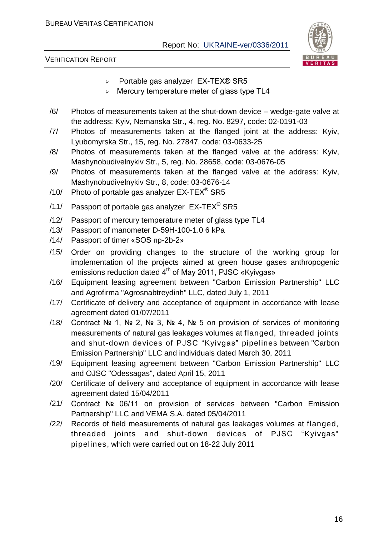

- $\triangleright$  Portable gas analyzer EX-TEX® SR5
- > Mercury temperature meter of glass type TL4
- /6/ Photos of measurements taken at the shut-down device wedge-gate valve at the address: Kyiv, Nemanska Str., 4, reg. No. 8297, code: 02-0191-03
- /7/ Photos of measurements taken at the flanged joint at the address: Kyiv, Lyubomyrska Str., 15, reg. No. 27847, code: 03-0633-25
- /8/ Photos of measurements taken at the flanged valve at the address: Kyiv, Mashynobudivelnykiv Str., 5, reg. No. 28658, code: 03-0676-05
- /9/ Photos of measurements taken at the flanged valve at the address: Kyiv, Mashynobudivelnykiv Str., 8, code: 03-0676-14
- /10/ Photo of portable gas analyzer  $EX-TEX^{\circledast}$  SR5
- /11/ Passport of portable gas analyzer  $EX-TEX^*$  SR5
- /12/ Passport of mercury temperature meter of glass type ТL4
- /13/ Passport of manometer D-59Н-100-1.0 6 kPa
- /14/ Passport of timer «SOS пр-2b-2»
- /15/ Order on providing changes to the structure of the working group for implementation of the projects aimed at green house gases anthropogenic emissions reduction dated 4<sup>th</sup> of May 2011, PJSC «Kyivgas»
- /16/ Equipment leasing agreement between "Carbon Emission Partnership" LLC and Agrofirma "Agrosnabtreydinh" LLC, dated July 1, 2011
- /17/ Certificate of delivery and acceptance of equipment in accordance with lease agreement dated 01/07/2011
- /18/ Contract № 1, № 2, № 3, № 4, № 5 on provision of services of monitoring measurements of natural gas leakages volumes at flanged, threaded joints and shut-down devices of PJSC "Kyivgas" pipelines between "Carbon Emission Partnership" LLC and individuals dated March 30, 2011
- /19/ Equipment leasing agreement between "Carbon Emission Partnership" LLC and OJSC "Odessagas", dated April 15, 2011
- /20/ Certificate of delivery and acceptance of equipment in accordance with lease agreement dated 15/04/2011
- /21/ Contract № 06/11 on provision of services between "Carbon Emission Partnership" LLC and VEMA S.A. dated 05/04/2011
- /22/ Records of field measurements of natural gas leakages volumes at flanged, threaded joints and shut-down devices of PJSC "Kyivgas" pipelines, which were carried out on 18-22 July 2011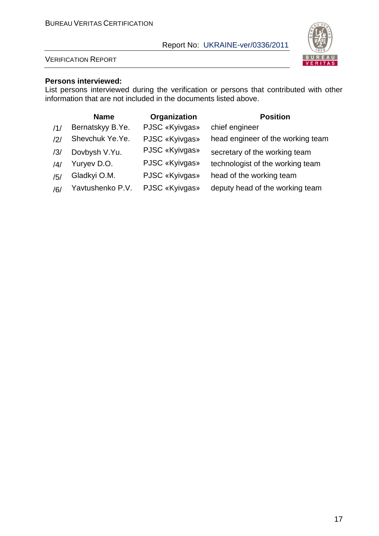

#### VERIFICATION REPORT

#### **Persons interviewed:**

List persons interviewed during the verification or persons that contributed with other information that are not included in the documents listed above.

|                | <b>Name</b>      | Organization   | <b>Position</b>                   |
|----------------|------------------|----------------|-----------------------------------|
| /1/            | Bernatskyy B.Ye. | PJSC «Kyivgas» | chief engineer                    |
| $\frac{12}{1}$ | Shevchuk Ye.Ye.  | PJSC «Kyivgas» | head engineer of the working team |
| /3/            | Dovbysh V.Yu.    | PJSC «Kyivgas» | secretary of the working team     |
| /4/            | Yuryev D.O.      | PJSC «Kyivgas» | technologist of the working team  |
| /5/            | Gladkyi O.M.     | PJSC «Kyivgas» | head of the working team          |
| /6/            | Yavtushenko P.V. | PJSC «Kyivgas» | deputy head of the working team   |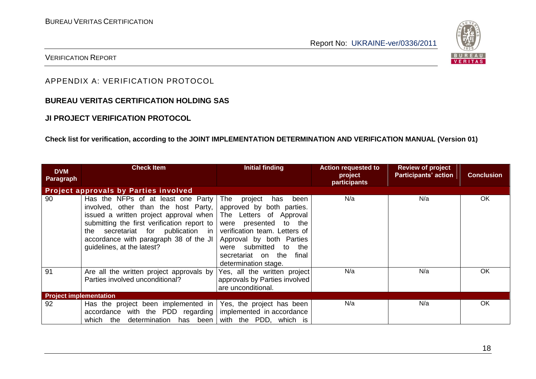

#### VERIFICATION REPORT

#### APPENDIX A: VERIFICATION PROTOCOL

#### **BUREAU VERITAS CERTIFICATION HOLDING SAS**

#### **JI PROJECT VERIFICATION PROTOCOL**

#### **Check list for verification, according to the JOINT IMPLEMENTATION DETERMINATION AND VERIFICATION MANUAL (Version 01)**

| <b>DVM</b><br>Paragraph             | <b>Check Item</b>                                                                                                                                                                                                                                                                                           | <b>Initial finding</b>                                                                                                                                                                                                              | <b>Action requested to</b><br>project<br>participants | <b>Review of project</b><br><b>Participants' action</b> | <b>Conclusion</b> |
|-------------------------------------|-------------------------------------------------------------------------------------------------------------------------------------------------------------------------------------------------------------------------------------------------------------------------------------------------------------|-------------------------------------------------------------------------------------------------------------------------------------------------------------------------------------------------------------------------------------|-------------------------------------------------------|---------------------------------------------------------|-------------------|
|                                     | <b>Project approvals by Parties involved</b>                                                                                                                                                                                                                                                                |                                                                                                                                                                                                                                     |                                                       |                                                         |                   |
| 90                                  | Has the NFPs of at least one Party  <br>involved, other than the host Party,<br>issued a written project approval when The Letters of Approval<br>submitting the first verification report to<br>the secretariat for publication in<br>accordance with paragraph 38 of the JI<br>guidelines, at the latest? | been<br>The<br>project<br>has<br>approved by both parties.<br>were presented to the<br>verification team. Letters of<br>Approval by both Parties<br>were submitted to<br>the<br>final<br>secretariat on the<br>determination stage. | N/a                                                   | N/a                                                     | <b>OK</b>         |
| 91                                  | Are all the written project approvals by<br>Parties involved unconditional?                                                                                                                                                                                                                                 | Yes, all the written project<br>approvals by Parties involved<br>are unconditional.                                                                                                                                                 | N/a                                                   | N/a                                                     | <b>OK</b>         |
| <b>Project implementation</b><br>92 |                                                                                                                                                                                                                                                                                                             |                                                                                                                                                                                                                                     | N/a                                                   | N/a                                                     | OK.               |
|                                     | Has the project been implemented in $\sqrt{ }$ Yes, the project has been<br>accordance with the PDD regarding  <br>determination<br>has been<br>which<br>the                                                                                                                                                | implemented in accordance<br>with the PDD, which is                                                                                                                                                                                 |                                                       |                                                         |                   |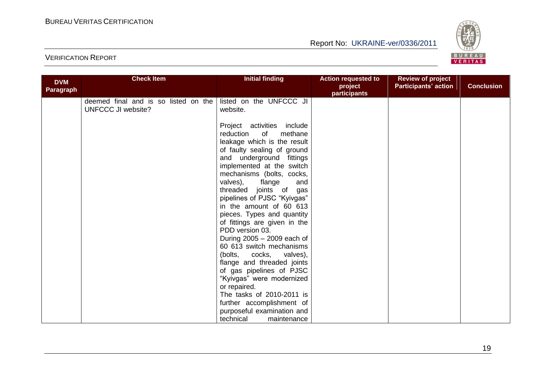

| <b>DVM</b><br>Paragraph | <b>Check Item</b>                                                 | <b>Initial finding</b>                                                                                                                                                                                                                                                                                                                                                                                                                                                                                                                                                                                                                                                  | <b>Action requested to</b><br>project<br>participants | <b>Review of project</b><br><b>Participants' action</b> | <b>Conclusion</b> |
|-------------------------|-------------------------------------------------------------------|-------------------------------------------------------------------------------------------------------------------------------------------------------------------------------------------------------------------------------------------------------------------------------------------------------------------------------------------------------------------------------------------------------------------------------------------------------------------------------------------------------------------------------------------------------------------------------------------------------------------------------------------------------------------------|-------------------------------------------------------|---------------------------------------------------------|-------------------|
|                         | deemed final and is so listed on the<br><b>UNFCCC JI website?</b> | listed on the UNFCCC JI<br>website.                                                                                                                                                                                                                                                                                                                                                                                                                                                                                                                                                                                                                                     |                                                       |                                                         |                   |
|                         |                                                                   | Project activities include<br>reduction of<br>methane<br>leakage which is the result<br>of faulty sealing of ground<br>and underground fittings<br>implemented at the switch<br>mechanisms (bolts, cocks,<br>valves),<br>flange<br>and<br>threaded joints of<br>gas<br>pipelines of PJSC "Kyivgas"<br>in the amount of 60 613<br>pieces. Types and quantity<br>of fittings are given in the<br>PDD version 03.<br>During 2005 - 2009 each of<br>60 613 switch mechanisms<br>(bolts, cocks,<br>valves),<br>flange and threaded joints<br>of gas pipelines of PJSC<br>"Kyivgas" were modernized<br>or repaired.<br>The tasks of 2010-2011 is<br>further accomplishment of |                                                       |                                                         |                   |
|                         |                                                                   | purposeful examination and<br>technical<br>maintenance                                                                                                                                                                                                                                                                                                                                                                                                                                                                                                                                                                                                                  |                                                       |                                                         |                   |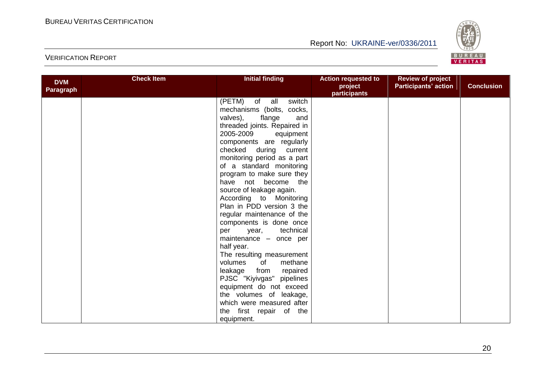

| <b>DVM</b><br><b>Paragraph</b> | <b>Check Item</b> | <b>Initial finding</b>                               | <b>Action requested to</b><br>project<br>participants | <b>Review of project</b><br><b>Participants' action</b> | <b>Conclusion</b> |
|--------------------------------|-------------------|------------------------------------------------------|-------------------------------------------------------|---------------------------------------------------------|-------------------|
|                                |                   | (PETM) of all<br>switch<br>mechanisms (bolts, cocks, |                                                       |                                                         |                   |
|                                |                   | valves),<br>flange<br>and                            |                                                       |                                                         |                   |
|                                |                   | threaded joints. Repaired in                         |                                                       |                                                         |                   |
|                                |                   | 2005-2009<br>equipment                               |                                                       |                                                         |                   |
|                                |                   | components are regularly                             |                                                       |                                                         |                   |
|                                |                   | checked during<br>current                            |                                                       |                                                         |                   |
|                                |                   | monitoring period as a part                          |                                                       |                                                         |                   |
|                                |                   | of a standard monitoring                             |                                                       |                                                         |                   |
|                                |                   | program to make sure they                            |                                                       |                                                         |                   |
|                                |                   | have not become the                                  |                                                       |                                                         |                   |
|                                |                   | source of leakage again.                             |                                                       |                                                         |                   |
|                                |                   | According to Monitoring                              |                                                       |                                                         |                   |
|                                |                   | Plan in PDD version 3 the                            |                                                       |                                                         |                   |
|                                |                   | regular maintenance of the                           |                                                       |                                                         |                   |
|                                |                   | components is done once                              |                                                       |                                                         |                   |
|                                |                   | year, technical<br>per                               |                                                       |                                                         |                   |
|                                |                   | maintenance - once per                               |                                                       |                                                         |                   |
|                                |                   | half year.<br>The resulting measurement              |                                                       |                                                         |                   |
|                                |                   | volumes<br>of<br>methane                             |                                                       |                                                         |                   |
|                                |                   | leakage<br>from<br>repaired                          |                                                       |                                                         |                   |
|                                |                   | PJSC "Kiyivgas" pipelines                            |                                                       |                                                         |                   |
|                                |                   | equipment do not exceed                              |                                                       |                                                         |                   |
|                                |                   | the volumes of leakage,                              |                                                       |                                                         |                   |
|                                |                   | which were measured after                            |                                                       |                                                         |                   |
|                                |                   | the first repair of the                              |                                                       |                                                         |                   |
|                                |                   | equipment.                                           |                                                       |                                                         |                   |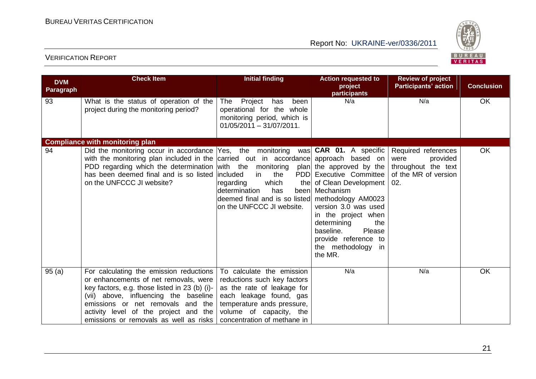

| <b>DVM</b><br>Paragraph | <b>Check Item</b>                                                                                                                                                                                                                                                                                                         | <b>Initial finding</b>                                                                                                                                                                                    | <b>Action requested to</b><br>project<br>participants                                                                                                                                                                                                    | <b>Review of project</b><br><b>Participants' action</b>                                       | <b>Conclusion</b> |
|-------------------------|---------------------------------------------------------------------------------------------------------------------------------------------------------------------------------------------------------------------------------------------------------------------------------------------------------------------------|-----------------------------------------------------------------------------------------------------------------------------------------------------------------------------------------------------------|----------------------------------------------------------------------------------------------------------------------------------------------------------------------------------------------------------------------------------------------------------|-----------------------------------------------------------------------------------------------|-------------------|
| 93                      | What is the status of operation of the<br>project during the monitoring period?                                                                                                                                                                                                                                           | Project<br>has<br>been<br>The<br>operational for the whole<br>monitoring period, which is<br>$01/05/2011 - 31/07/2011.$                                                                                   | N/a                                                                                                                                                                                                                                                      | N/a                                                                                           | OK                |
|                         | <b>Compliance with monitoring plan</b>                                                                                                                                                                                                                                                                                    |                                                                                                                                                                                                           |                                                                                                                                                                                                                                                          |                                                                                               |                   |
| 94                      | Did the monitoring occur in accordance Yes, the monitoring<br>with the monitoring plan included in the carried out in accordance approach based on<br>PDD regarding which the determination with the monitoring plan the approved by the<br>has been deemed final and is so listed lincluded<br>on the UNFCCC JI website? | in<br>the<br>which<br>regarding<br>determination<br>has<br>deemed final and is so listed methodology AM0023<br>on the UNFCCC JI website.                                                                  | was CAR 01. A specific<br>PDD Executive Committee<br>the of Clean Development<br>been Mechanism<br>version 3.0 was used<br>in the project when<br>determining<br>the<br>baseline.<br>Please<br>provide reference to<br>the methodology<br>in.<br>the MR. | Required references<br>provided<br>were<br>throughout the text<br>of the MR of version<br>02. | OK                |
| 95(a)                   | For calculating the emission reductions<br>or enhancements of net removals, were<br>key factors, e.g. those listed in 23 (b) (i)-<br>(vii) above, influencing the baseline<br>emissions or net removals and the<br>activity level of the project and the<br>emissions or removals as well as risks                        | To calculate the emission<br>reductions such key factors<br>as the rate of leakage for<br>each leakage found, gas<br>temperature ands pressure,<br>volume of capacity, the<br>concentration of methane in | N/a                                                                                                                                                                                                                                                      | N/a                                                                                           | <b>OK</b>         |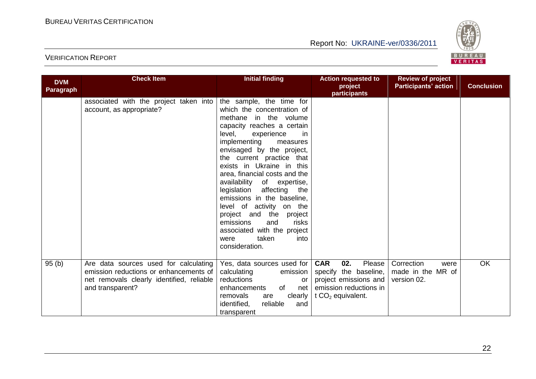

| <b>DVM</b><br>Paragraph | <b>Check Item</b>                                                                                                                                | <b>Initial finding</b>                                                                                                                                                                                                                                                                                                                                                                                                                                                                                                                                        | <b>Action requested to</b><br>project<br>participants                                                                          | <b>Review of project</b><br><b>Participants' action</b> | <b>Conclusion</b> |
|-------------------------|--------------------------------------------------------------------------------------------------------------------------------------------------|---------------------------------------------------------------------------------------------------------------------------------------------------------------------------------------------------------------------------------------------------------------------------------------------------------------------------------------------------------------------------------------------------------------------------------------------------------------------------------------------------------------------------------------------------------------|--------------------------------------------------------------------------------------------------------------------------------|---------------------------------------------------------|-------------------|
|                         | associated with the project taken into<br>account, as appropriate?                                                                               | the sample, the time for<br>which the concentration of<br>methane in the volume<br>capacity reaches a certain<br>level,<br>experience<br>-in<br>implementing<br>measures<br>envisaged by the project,<br>the current practice that<br>exists in Ukraine in this<br>area, financial costs and the<br>availability of expertise,<br>legislation affecting<br>the<br>emissions in the baseline,<br>level of activity on the<br>project and the<br>project<br>risks<br>emissions<br>and<br>associated with the project<br>taken<br>into<br>were<br>consideration. |                                                                                                                                |                                                         |                   |
| 95(b)                   | Are data sources used for calculating<br>emission reductions or enhancements of<br>net removals clearly identified, reliable<br>and transparent? | Yes, data sources used for<br>calculating<br>emission<br>reductions<br>or<br>of<br>enhancements<br>net<br>removals<br>are<br>clearly<br>reliable<br>identified,<br>and<br>transparent                                                                                                                                                                                                                                                                                                                                                                         | <b>CAR</b><br>02.<br>Please<br>specify the baseline,<br>project emissions and<br>emission reductions in<br>t $CO2$ equivalent. | Correction<br>were<br>made in the MR of<br>version 02.  | <b>OK</b>         |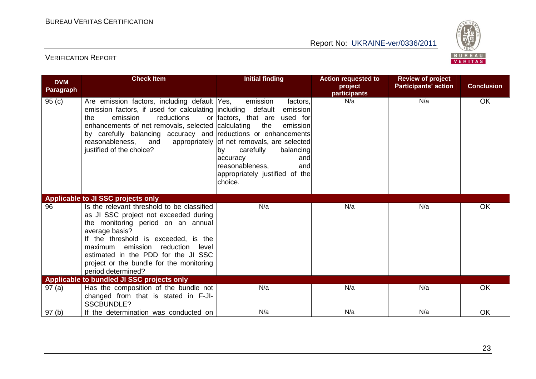

| <b>DVM</b><br>Paragraph | <b>Check Item</b>                                                                                                                                                                                                                                                                                                                   | <b>Initial finding</b>                                                                                                                                                                                                                                           | <b>Action requested to</b><br>project<br>participants | <b>Review of project</b><br><b>Participants' action</b> | <b>Conclusion</b> |
|-------------------------|-------------------------------------------------------------------------------------------------------------------------------------------------------------------------------------------------------------------------------------------------------------------------------------------------------------------------------------|------------------------------------------------------------------------------------------------------------------------------------------------------------------------------------------------------------------------------------------------------------------|-------------------------------------------------------|---------------------------------------------------------|-------------------|
| 95(c)                   | Are emission factors, including default Yes,<br>emission factors, if used for calculating including default<br>emission<br>reductions<br>the<br>enhancements of net removals, selected calculating<br>by carefully balancing accuracy and reductions or enhancements<br>reasonableness, and<br>justified of the choice?             | emission<br>factors,<br>emission<br>or factors, that are<br>used for<br>the<br>emission<br>appropriately of net removals, are selected<br>carefully<br>balancing<br>by<br>accuracy<br>and<br>reasonableness,<br>and<br>appropriately justified of the<br>choice. | N/a                                                   | N/a                                                     | OK                |
|                         | Applicable to JI SSC projects only                                                                                                                                                                                                                                                                                                  |                                                                                                                                                                                                                                                                  |                                                       |                                                         |                   |
| 96                      | Is the relevant threshold to be classified<br>as JI SSC project not exceeded during<br>the monitoring period on an annual<br>average basis?<br>If the threshold is exceeded, is the<br>maximum emission reduction<br>level<br>estimated in the PDD for the JI SSC<br>project or the bundle for the monitoring<br>period determined? | N/a                                                                                                                                                                                                                                                              | N/a                                                   | N/a                                                     | OK                |
|                         | Applicable to bundled JI SSC projects only                                                                                                                                                                                                                                                                                          |                                                                                                                                                                                                                                                                  |                                                       |                                                         |                   |
| 97(a)                   | Has the composition of the bundle not<br>changed from that is stated in F-JI-<br><b>SSCBUNDLE?</b>                                                                                                                                                                                                                                  | N/a                                                                                                                                                                                                                                                              | N/a                                                   | N/a                                                     | OK                |
| 97(b)                   | If the determination was conducted on                                                                                                                                                                                                                                                                                               | N/a                                                                                                                                                                                                                                                              | N/a                                                   | N/a                                                     | OK                |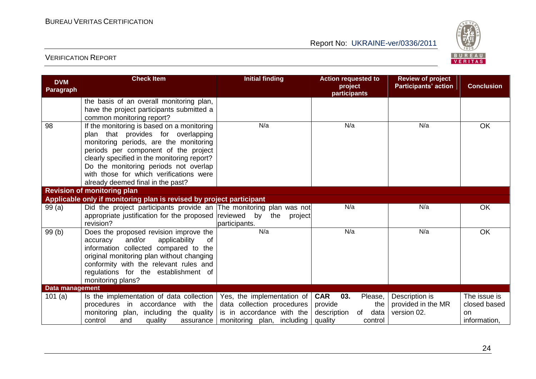

| <b>DVM</b><br>Paragraph | <b>Check Item</b>                                                                                                                                                                                                                                                                                                                          | <b>Initial finding</b>                                                                                                  | <b>Action requested to</b><br>project<br>participants                                             | <b>Review of project</b><br><b>Participants' action</b> | <b>Conclusion</b>                                         |
|-------------------------|--------------------------------------------------------------------------------------------------------------------------------------------------------------------------------------------------------------------------------------------------------------------------------------------------------------------------------------------|-------------------------------------------------------------------------------------------------------------------------|---------------------------------------------------------------------------------------------------|---------------------------------------------------------|-----------------------------------------------------------|
|                         | the basis of an overall monitoring plan,<br>have the project participants submitted a<br>common monitoring report?                                                                                                                                                                                                                         |                                                                                                                         |                                                                                                   |                                                         |                                                           |
| 98                      | If the monitoring is based on a monitoring<br>plan that provides for overlapping<br>monitoring periods, are the monitoring<br>periods per component of the project<br>clearly specified in the monitoring report?<br>Do the monitoring periods not overlap<br>with those for which verifications were<br>already deemed final in the past? | N/a                                                                                                                     | N/a                                                                                               | N/a                                                     | OK                                                        |
|                         | <b>Revision of monitoring plan</b>                                                                                                                                                                                                                                                                                                         |                                                                                                                         |                                                                                                   |                                                         |                                                           |
|                         | Applicable only if monitoring plan is revised by project participant                                                                                                                                                                                                                                                                       |                                                                                                                         |                                                                                                   |                                                         |                                                           |
| 99(a)                   | Did the project participants provide an The monitoring plan was not<br>appropriate justification for the proposed reviewed by<br>revision?                                                                                                                                                                                                 | the<br>project<br>participants.                                                                                         | N/a                                                                                               | N/a                                                     | <b>OK</b>                                                 |
| 99 (b)                  | Does the proposed revision improve the<br>and/or<br>applicability<br>accuracy<br>0f<br>information collected compared to the<br>original monitoring plan without changing<br>conformity with the relevant rules and<br>regulations for the establishment of<br>monitoring plans?                                                           | N/a                                                                                                                     | N/a                                                                                               | N/a                                                     | OK                                                        |
| <b>Data management</b>  |                                                                                                                                                                                                                                                                                                                                            |                                                                                                                         |                                                                                                   |                                                         |                                                           |
| 101 $(a)$               | Is the implementation of data collection<br>procedures in accordance<br>with the<br>monitoring plan, including the quality<br>control<br>and<br>quality<br>assurance                                                                                                                                                                       | Yes, the implementation of $ $<br>data collection procedures<br>is in accordance with the<br>monitoring plan, including | <b>CAR</b><br>03.<br>Please,<br>provide<br>the<br>data<br>description<br>of<br>quality<br>control | Description is<br>provided in the MR<br>version 02.     | The issue is<br>closed based<br><b>on</b><br>information, |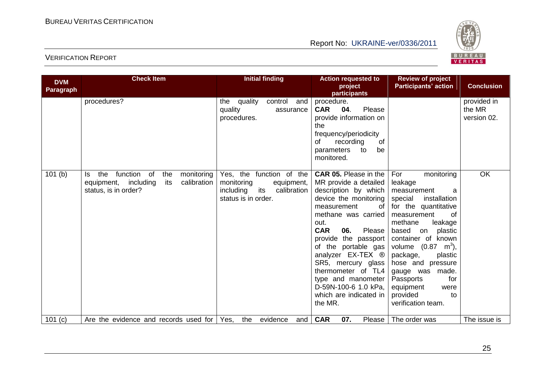

| <b>DVM</b> | <b>Check Item</b>                                                                                                          | <b>Initial finding</b>                                                                                         | <b>Action requested to</b><br>project                                                                                                                                                                                                                                                                                                                                                        | <b>Review of project</b><br><b>Participants' action</b>                                                                                                                                                                                                                                                                                                                                  | <b>Conclusion</b>                    |
|------------|----------------------------------------------------------------------------------------------------------------------------|----------------------------------------------------------------------------------------------------------------|----------------------------------------------------------------------------------------------------------------------------------------------------------------------------------------------------------------------------------------------------------------------------------------------------------------------------------------------------------------------------------------------|------------------------------------------------------------------------------------------------------------------------------------------------------------------------------------------------------------------------------------------------------------------------------------------------------------------------------------------------------------------------------------------|--------------------------------------|
| Paragraph  |                                                                                                                            |                                                                                                                | participants                                                                                                                                                                                                                                                                                                                                                                                 |                                                                                                                                                                                                                                                                                                                                                                                          |                                      |
|            | procedures?                                                                                                                | the quality<br>control<br>and<br>quality<br>assurance<br>procedures.                                           | procedure.<br><b>CAR</b><br>04.<br>Please<br>provide information on<br>the<br>frequency/periodicity<br>recording<br>οf<br>0f<br>parameters<br>be<br>to<br>monitored.                                                                                                                                                                                                                         |                                                                                                                                                                                                                                                                                                                                                                                          | provided in<br>the MR<br>version 02. |
| 101(b)     | function<br>of<br>the<br>the<br>monitoring<br>ls.<br>including<br>its<br>calibration<br>equipment,<br>status, is in order? | Yes, the function of the<br>monitoring<br>equipment,<br>its<br>including<br>calibration<br>status is in order. | <b>CAR 05.</b> Please in the<br>MR provide a detailed<br>description by which<br>device the monitoring<br>measurement<br>0f<br>methane was carried<br>out.<br><b>CAR</b><br>Please<br>06.<br>provide the passport<br>of the portable gas<br>analyzer EX-TEX ®<br>SR5, mercury glass<br>thermometer of TL4<br>type and manometer<br>D-59N-100-6 1.0 kPa,<br>which are indicated in<br>the MR. | monitoring<br>For<br>leakage<br>measurement<br>a<br>special<br>installation<br>for the quantitative<br><b>of</b><br>measurement<br>methane<br>leakage<br>based<br>plastic<br>on<br>container of known<br>volume $(0.87 \, \text{m}^3)$ ,<br>package,<br>plastic<br>hose and pressure<br>gauge was made.<br>for<br>Passports<br>equipment<br>were<br>provided<br>to<br>verification team. | OK                                   |
| 101(c)     | Are the evidence and records used for                                                                                      | evidence<br>Yes,<br>the<br>and                                                                                 | <b>CAR</b><br>07.<br>Please                                                                                                                                                                                                                                                                                                                                                                  | The order was                                                                                                                                                                                                                                                                                                                                                                            | The issue is                         |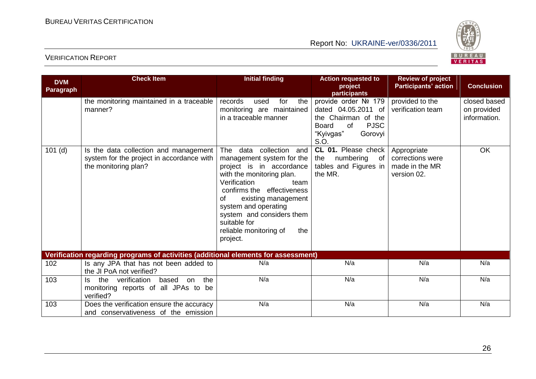

| <b>DVM</b><br>Paragraph | <b>Check Item</b>                                                                                          | <b>Initial finding</b>                                                                                                                                                                                                                                                                                                   | <b>Action requested to</b><br>project<br>participants                                                                                   | <b>Review of project</b><br><b>Participants' action</b>          | <b>Conclusion</b>                           |
|-------------------------|------------------------------------------------------------------------------------------------------------|--------------------------------------------------------------------------------------------------------------------------------------------------------------------------------------------------------------------------------------------------------------------------------------------------------------------------|-----------------------------------------------------------------------------------------------------------------------------------------|------------------------------------------------------------------|---------------------------------------------|
|                         | the monitoring maintained in a traceable<br>manner?                                                        | records<br>for<br>the<br>used<br>monitoring are maintained<br>in a traceable manner                                                                                                                                                                                                                                      | provide order Nº 179<br>dated 04.05.2011 of<br>the Chairman of the<br><b>Board</b><br>of<br><b>PJSC</b><br>"Kyivgas"<br>Gorovyi<br>S.O. | provided to the<br>verification team                             | closed based<br>on provided<br>information. |
| $101$ (d)               | Is the data collection and management<br>system for the project in accordance with<br>the monitoring plan? | data collection<br>The<br>and<br>management system for the<br>project is in accordance<br>with the monitoring plan.<br>Verification<br>team<br>confirms the effectiveness<br>existing management<br>οf<br>system and operating<br>system and considers them<br>suitable for<br>reliable monitoring of<br>the<br>project. | CL 01. Please check<br>numbering<br>$\circ$ of<br>the<br>tables and Figures in<br>the MR.                                               | Appropriate<br>corrections were<br>made in the MR<br>version 02. | OK                                          |
|                         | Verification regarding programs of activities (additional elements for assessment)                         |                                                                                                                                                                                                                                                                                                                          |                                                                                                                                         |                                                                  |                                             |
| 102                     | Is any JPA that has not been added to<br>the JI PoA not verified?                                          | N/a                                                                                                                                                                                                                                                                                                                      | N/a                                                                                                                                     | N/a                                                              | N/a                                         |
| 103                     | the<br>verification<br>based<br>the<br>on<br>ls.<br>monitoring reports of all JPAs to be<br>verified?      | N/a                                                                                                                                                                                                                                                                                                                      | N/a                                                                                                                                     | N/a                                                              | N/a                                         |
| 103                     | Does the verification ensure the accuracy<br>and conservativeness of the emission                          | N/a                                                                                                                                                                                                                                                                                                                      | N/a                                                                                                                                     | N/a                                                              | N/a                                         |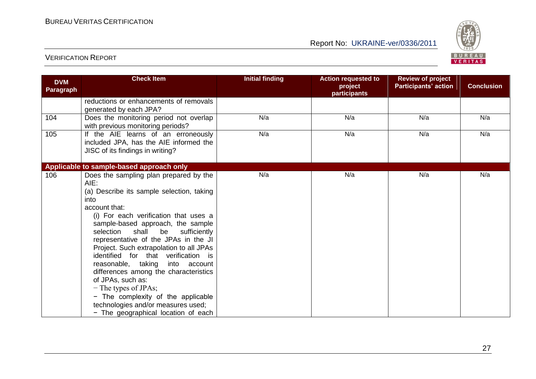

| <b>DVM</b><br>Paragraph | <b>Check Item</b>                                                                                                                                                                                                                                                                                                                                                                                                                                                                                                                                                                                                      | <b>Initial finding</b> | <b>Action requested to</b><br>project<br>participants | <b>Review of project</b><br><b>Participants' action</b> | <b>Conclusion</b> |
|-------------------------|------------------------------------------------------------------------------------------------------------------------------------------------------------------------------------------------------------------------------------------------------------------------------------------------------------------------------------------------------------------------------------------------------------------------------------------------------------------------------------------------------------------------------------------------------------------------------------------------------------------------|------------------------|-------------------------------------------------------|---------------------------------------------------------|-------------------|
|                         | reductions or enhancements of removals<br>generated by each JPA?                                                                                                                                                                                                                                                                                                                                                                                                                                                                                                                                                       |                        |                                                       |                                                         |                   |
| 104                     | Does the monitoring period not overlap<br>with previous monitoring periods?                                                                                                                                                                                                                                                                                                                                                                                                                                                                                                                                            | N/a                    | N/a                                                   | N/a                                                     | N/a               |
| 105                     | If the AIE learns of an erroneously<br>included JPA, has the AIE informed the<br>JISC of its findings in writing?                                                                                                                                                                                                                                                                                                                                                                                                                                                                                                      | N/a                    | N/a                                                   | N/a                                                     | N/a               |
|                         | Applicable to sample-based approach only                                                                                                                                                                                                                                                                                                                                                                                                                                                                                                                                                                               |                        |                                                       |                                                         |                   |
| 106                     | Does the sampling plan prepared by the<br>AIE:<br>(a) Describe its sample selection, taking<br>into<br>account that:<br>(i) For each verification that uses a<br>sample-based approach, the sample<br>selection<br>shall be<br>sufficiently<br>representative of the JPAs in the JI<br>Project. Such extrapolation to all JPAs<br>identified for that verification is<br>reasonable, taking<br>into account<br>differences among the characteristics<br>of JPAs, such as:<br>$-$ The types of JPAs;<br>- The complexity of the applicable<br>technologies and/or measures used;<br>- The geographical location of each | N/a                    | N/a                                                   | N/a                                                     | N/a               |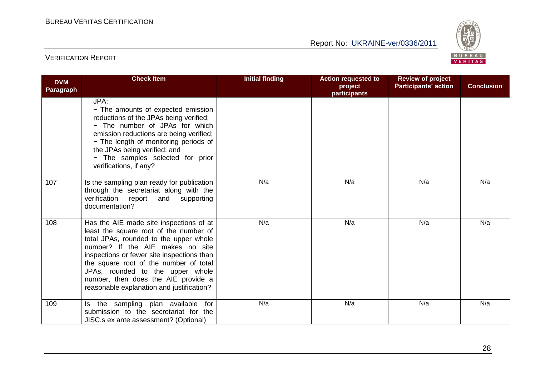

| <b>DVM</b><br><b>Paragraph</b> | <b>Check Item</b>                                                                                                                                                                                                                                                                                                                                                               | <b>Initial finding</b> | <b>Action requested to</b><br>project<br>participants | <b>Review of project</b><br><b>Participants' action</b> | <b>Conclusion</b> |
|--------------------------------|---------------------------------------------------------------------------------------------------------------------------------------------------------------------------------------------------------------------------------------------------------------------------------------------------------------------------------------------------------------------------------|------------------------|-------------------------------------------------------|---------------------------------------------------------|-------------------|
|                                | JPA;<br>- The amounts of expected emission<br>reductions of the JPAs being verified;<br>- The number of JPAs for which<br>emission reductions are being verified;<br>- The length of monitoring periods of<br>the JPAs being verified; and<br>- The samples selected for prior<br>verifications, if any?                                                                        |                        |                                                       |                                                         |                   |
| 107                            | Is the sampling plan ready for publication<br>through the secretariat along with the<br>verification report and<br>supporting<br>documentation?                                                                                                                                                                                                                                 | N/a                    | N/a                                                   | N/a                                                     | N/a               |
| 108                            | Has the AIE made site inspections of at<br>least the square root of the number of<br>total JPAs, rounded to the upper whole<br>number? If the AIE makes no site<br>inspections or fewer site inspections than<br>the square root of the number of total<br>JPAs, rounded to the upper whole<br>number, then does the AIE provide a<br>reasonable explanation and justification? | N/a                    | N/a                                                   | N/a                                                     | N/a               |
| 109                            | Is the sampling plan available for<br>submission to the secretariat for the<br>JISC.s ex ante assessment? (Optional)                                                                                                                                                                                                                                                            | N/a                    | N/a                                                   | N/a                                                     | N/a               |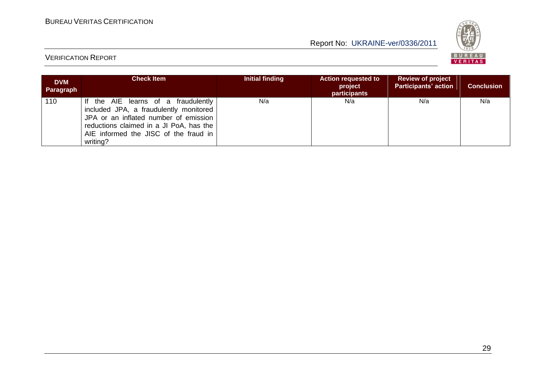

| <b>DVM</b><br>Paragraph | <b>Check Item</b>                                                                                                                                                                                                      | Initial finding | <b>Action requested to</b><br>project<br>participants | <b>Review of project</b><br><b>Participants' action</b> | <b>Conclusion</b> |
|-------------------------|------------------------------------------------------------------------------------------------------------------------------------------------------------------------------------------------------------------------|-----------------|-------------------------------------------------------|---------------------------------------------------------|-------------------|
| 110                     | If the AIE learns of a fraudulently<br>included JPA, a fraudulently monitored<br>JPA or an inflated number of emission<br>reductions claimed in a JI PoA, has the<br>AIE informed the JISC of the fraud in<br>writing? | N/a             | N/a                                                   | N/a                                                     | N/a               |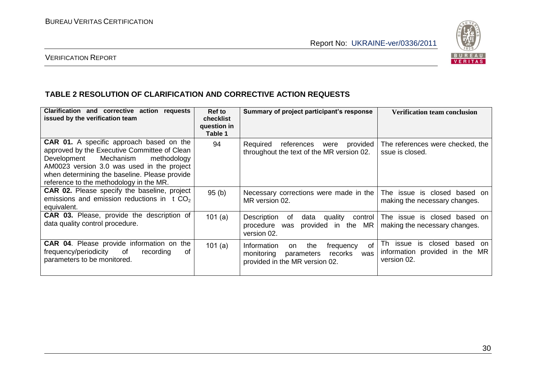

#### VERIFICATION REPORT

#### **TABLE 2 RESOLUTION OF CLARIFICATION AND CORRECTIVE ACTION REQUESTS**

| Clarification and corrective action requests<br>issued by the verification team                                                                                                                                                                                                      | <b>Ref to</b><br>checklist<br>question in<br>Table 1 | Summary of project participant's response                                                                                   | <b>Verification team conclusion</b>                                                        |
|--------------------------------------------------------------------------------------------------------------------------------------------------------------------------------------------------------------------------------------------------------------------------------------|------------------------------------------------------|-----------------------------------------------------------------------------------------------------------------------------|--------------------------------------------------------------------------------------------|
| <b>CAR 01.</b> A specific approach based on the<br>approved by the Executive Committee of Clean<br>Mechanism<br>Development<br>methodology<br>AM0023 version 3.0 was used in the project<br>when determining the baseline. Please provide<br>reference to the methodology in the MR. | 94                                                   | provided<br>Required<br>references<br>were<br>throughout the text of the MR version 02.                                     | The references were checked, the<br>ssue is closed.                                        |
| <b>CAR 02.</b> Please specify the baseline, project<br>emissions and emission reductions in $t CO2$<br>equivalent.                                                                                                                                                                   | 95(b)                                                | Necessary corrections were made in the<br>MR version 02.                                                                    | is closed based on<br>The issue<br>making the necessary changes.                           |
| CAR 03. Please, provide the description of<br>data quality control procedure.                                                                                                                                                                                                        | 101(a)                                               | Description<br>data<br>quality<br>control<br>of<br>provided in<br>the MR<br>procedure<br>was<br>version 02.                 | The issue is closed based on<br>making the necessary changes.                              |
| CAR 04. Please provide information on the<br>frequency/periodicity<br>of<br>οf<br>recording<br>parameters to be monitored.                                                                                                                                                           | 101(a)                                               | οf<br>Information<br>the<br>frequency<br>on<br>monitoring<br>recorks<br>parameters<br>was<br>provided in the MR version 02. | Th issue is<br>closed<br>based<br>.on<br>information provided in the<br>MR.<br>version 02. |